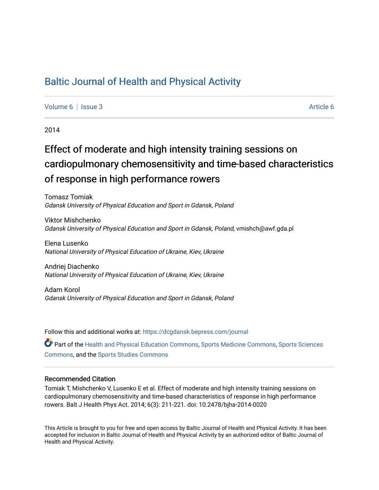# [Baltic Journal of Health and Physical Activity](https://dcgdansk.bepress.com/journal)

[Volume 6](https://dcgdansk.bepress.com/journal/vol6) | [Issue 3](https://dcgdansk.bepress.com/journal/vol6/iss3) [Article 6](https://dcgdansk.bepress.com/journal/vol6/iss3/6) | Article 6 | Article 6 | Article 6 | Article 6 | Article 6 | Article 6 | Article 6 | Article 6 | Article 6 | Article 6 | Article 6 | Article 6 | Article 6 | Article 6 | Article 6 | Article 6 |

2014

# Effect of moderate and high intensity training sessions on cardiopulmonary chemosensitivity and time-based characteristics of response in high performance rowers

Tomasz Tomiak Gdansk University of Physical Education and Sport in Gdansk, Poland

Viktor Mishchenko Gdansk University of Physical Education and Sport in Gdansk, Poland, vmishch@awf.gda.pl

Elena Lusenko National University of Physical Education of Ukraine, Kiev, Ukraine

Andriej Diachenko National University of Physical Education of Ukraine, Kiev, Ukraine

Adam Korol Gdansk University of Physical Education and Sport in Gdansk, Poland

Follow this and additional works at: [https://dcgdansk.bepress.com/journal](https://dcgdansk.bepress.com/journal?utm_source=dcgdansk.bepress.com%2Fjournal%2Fvol6%2Fiss3%2F6&utm_medium=PDF&utm_campaign=PDFCoverPages)

Part of the [Health and Physical Education Commons](http://network.bepress.com/hgg/discipline/1327?utm_source=dcgdansk.bepress.com%2Fjournal%2Fvol6%2Fiss3%2F6&utm_medium=PDF&utm_campaign=PDFCoverPages), [Sports Medicine Commons,](http://network.bepress.com/hgg/discipline/1331?utm_source=dcgdansk.bepress.com%2Fjournal%2Fvol6%2Fiss3%2F6&utm_medium=PDF&utm_campaign=PDFCoverPages) [Sports Sciences](http://network.bepress.com/hgg/discipline/759?utm_source=dcgdansk.bepress.com%2Fjournal%2Fvol6%2Fiss3%2F6&utm_medium=PDF&utm_campaign=PDFCoverPages) [Commons](http://network.bepress.com/hgg/discipline/759?utm_source=dcgdansk.bepress.com%2Fjournal%2Fvol6%2Fiss3%2F6&utm_medium=PDF&utm_campaign=PDFCoverPages), and the [Sports Studies Commons](http://network.bepress.com/hgg/discipline/1198?utm_source=dcgdansk.bepress.com%2Fjournal%2Fvol6%2Fiss3%2F6&utm_medium=PDF&utm_campaign=PDFCoverPages) 

#### Recommended Citation

Tomiak T, Mishchenko V, Lusenko E et al. Effect of moderate and high intensity training sessions on cardiopulmonary chemosensitivity and time-based characteristics of response in high performance rowers. Balt J Health Phys Act. 2014; 6(3): 211-221. doi: 10.2478/bjha-2014-0020

This Article is brought to you for free and open access by Baltic Journal of Health and Physical Activity. It has been accepted for inclusion in Baltic Journal of Health and Physical Activity by an authorized editor of Baltic Journal of Health and Physical Activity.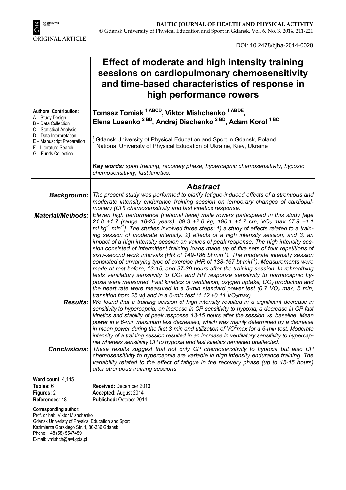

DOI: 10.2478/bjha-2014-0020

# **Effect of moderate and high intensity training sessions on cardiopulmonary chemosensitivity and time-based characteristics of response in high performance rowers**

| <b>Authors' Contribution:</b><br>A - Study Design<br>B - Data Collection<br>C - Statistical Analysis   | Tomasz Tomiak <sup>1 ABCD</sup> , Viktor Mishchenko <sup>1 ABDE</sup> ,<br>Elena Lusenko <sup>2BD</sup> , Andrej Diachenko <sup>2BD</sup> , Adam Korol <sup>1BC</sup>                                                                                                                                                                                                                                                                                                                                                                                                                                                                                                                 |
|--------------------------------------------------------------------------------------------------------|---------------------------------------------------------------------------------------------------------------------------------------------------------------------------------------------------------------------------------------------------------------------------------------------------------------------------------------------------------------------------------------------------------------------------------------------------------------------------------------------------------------------------------------------------------------------------------------------------------------------------------------------------------------------------------------|
| D - Data Interpretation<br>E - Manuscript Preparation<br>F - Literature Search<br>G - Funds Collection | <sup>1</sup> Gdansk University of Physical Education and Sport in Gdansk, Poland<br><sup>2</sup> National University of Physical Education of Ukraine, Kiev, Ukraine                                                                                                                                                                                                                                                                                                                                                                                                                                                                                                                  |
|                                                                                                        | Key words: sport training, recovery phase, hypercapnic chemosensitivity, hypoxic<br>chemosensitivity; fast kinetics.                                                                                                                                                                                                                                                                                                                                                                                                                                                                                                                                                                  |
|                                                                                                        | <b>Abstract</b>                                                                                                                                                                                                                                                                                                                                                                                                                                                                                                                                                                                                                                                                       |
| <b>Background:</b>                                                                                     | The present study was performed to clarify fatigue-induced effects of a strenuous and<br>moderate intensity endurance training session on temporary changes of cardiopul-                                                                                                                                                                                                                                                                                                                                                                                                                                                                                                             |
|                                                                                                        | monary (CP) chemosensitivity and fast kinetics response.                                                                                                                                                                                                                                                                                                                                                                                                                                                                                                                                                                                                                              |
| <b>Material/Methods:</b>                                                                               | Eleven high performance (national level) male rowers participated in this study [age<br>21.8 ±1.7 (range 18-25 years), 89.3 ±2.0 kg, 190.1 ±1.7 cm, VO <sub>2</sub> max 67.9 ±1.1<br>ml·kg <sup>-1</sup> ·min <sup>-1</sup> ]. The studies involved three steps: 1) a study of effects related to a train-<br>ing session of moderate intensity, 2) effects of a high intensity session, and 3) an<br>impact of a high intensity session on values of peak response. The high intensity ses-<br>sion consisted of intermittent training loads made up of five sets of four repetitions of                                                                                             |
|                                                                                                        | sixty-second work intervals (HR of 149-186 bt min <sup>-1</sup> ). The moderate intensity session<br>consisted of unvarying type of exercise (HR of 138-167 bt min <sup>-1</sup> ). Measurements were<br>made at rest before, 13-15, and 37-39 hours after the training session. In rebreathing<br>tests ventilatory sensitivity to $CO2$ and HR response sensitivity to normocapnic hy-<br>poxia were measured. Fast kinetics of ventilation, oxygen uptake, CO <sub>2</sub> production and<br>the heart rate were measured in a 5-min standard power test (0.7 VO <sub>2</sub> max, 5 min,<br>transition from 25 w) and in a 6-min test $(1.12 \pm 0.11 \text{ VO}_2 \text{max})$ . |
|                                                                                                        | <b>Results:</b> We found that a training session of high intensity resulted in a significant decrease in<br>sensitivity to hypercapnia, an increase in CP sensitivity to hypoxia, a decrease in CP fast<br>kinetics and stability of peak response 13-15 hours after the session vs. baseline. Mean<br>power in a 6-min maximum test decreased, which was mainly determined by a decrease<br>in mean power during the first 3 min and utilization of $VO2$ max for a 6-min test. Moderate<br>intensity of a training session resulted in an increase in ventilatory sensitivity to hypercap-<br>nia whereas sensitivity CP to hypoxia and fast kinetics remained unaffected.          |
| <b>Conclusions:</b>                                                                                    | These results suggest that not only CP chemosensitivity to hypoxia but also CP<br>chemosensitivity to hypercapnia are variable in high intensity endurance training. The<br>variability related to the effect of fatigue in the recovery phase (up to 15-15 hours)<br>after strenuous training sessions.                                                                                                                                                                                                                                                                                                                                                                              |

**Word count**: 4,115 **Tables:** 6 **Figures:** 2 **References**: 48

**Received:** December 2013 **Accepted:** August 2014 **Published:** October 2014

#### **Corresponding author:**

Prof. dr hab. Viktor Mishchenko Gdansk Univeristy of Physical Education and Sport Kazimierza Gorskiego Str. 1, 80-336 Gdansk Phone: +48 (58) 5547459 E-mail: vmishch@awf.gda.pl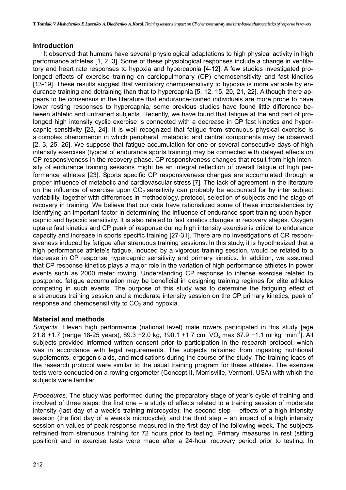### **Introduction**

It observed that humans have several physiological adaptations to high physical activity in high performance athletes [1, 2, 3]. Some of these physiological responses include a change in ventilatory and heart rate responses to hypoxia and hypercapnia [4-12]. A few studies investigated prolonged effects of exercise training on cardiopulmonary (CP) chemosensitivity and fast kinetics [13-19]. These results suggest that ventilatory chemosensitivity to hypoxia is more variable by endurance training and detraining than that to hypercapnia [5, 12, 15, 20, 21, 22]. Although there appears to be consensus in the literature that endurance-trained individuals are more prone to have lower resting responses to hypercapnia, some previous studies have found little difference between athletic and untrained subjects. Recently, we have found that fatigue at the end part of prolonged high intensity cyclic exercise is connected with a decrease in CP fast kinetics and hypercapnic sensitivity [23, 24]. It is well recognized that fatigue from strenuous physical exercise is a complex phenomenon in which peripheral, metabolic and central components may be observed [2, 3, 25, 26]. We suppose that fatigue accumulation for one or several consecutive days of high intensity exercises (typical of endurance sports training) may be connected with delayed effects on CP responsiveness in the recovery phase. CP responsiveness changes that result from high intensity of endurance training sessions might be an integral reflection of overall fatigue of high performance athletes [23]. Sports specific CP responsiveness changes are accumulated through a proper influence of metabolic and cardiovascular stress [7]. The lack of agreement in the literature on the influence of exercise upon  $CO<sub>2</sub>$  sensitivity can probably be accounted for by inter subject variability, together with differences in methodology, protocol, selection of subjects and the stage of recovery in training. We believe that our data have rationalized some of these inconsistencies by identifying an important factor in determining the influence of endurance sport training upon hypercapnic and hypoxic sensitivity. It is also related to fast kinetics changes in recovery stages. Oxygen uptake fast kinetics and CP peak of response during high intensity exercise is critical to endurance capacity and increase in sports specific training [27-31]. There are no investigations of CR responsiveness induced by fatigue after strenuous training sessions. In this study, it is hypothesized that a high performance athlete's fatigue, induced by a vigorous training session, would be related to a decrease in CP response hypercapnic sensitivity and primary kinetics. In addition, we assumed that CP response kinetics plays a major role in the variation of high performance athletes in power events such as 2000 meter rowing. Understanding CP response to intense exercise related to postponed fatigue accumulation may be beneficial in designing training regimes for elite athletes competing in such events. The purpose of this study was to determine the fatiguing effect of a strenuous training session and a moderate intensity session on the CP primary kinetics, peak of response and chemosensitivity to  $CO<sub>2</sub>$  and hypoxia.

### **Material and methods**

*Subjects.* Eleven high performance (national level) male rowers participated in this study [age 21.8 +1.7 (range 18-25 years), 89.3 +2.0 kg, 190.1 +1.7 cm, VO<sub>2</sub> max 67.9 +1.1 ml·kg<sup>-1</sup>·min<sup>-1</sup>]. All subjects provided informed written consent prior to participation in the research protocol, which was in accordance with legal requirements. The subjects refrained from ingesting nutritional supplements, ergogenic aids, and medications during the course of the study. The training loads of the research protocol were similar to the usual training program for these athletes. The exercise tests were conducted on a rowing ergometer (Concept II, Morrisville, Vermont, USA) with which the subjects were familiar.

*Procedures.* The study was performed during the preparatory stage of year's cycle of training and involved of three steps: the first one – a study of effects related to a training session of moderate intensity (last day of a week's training microcycle); the second step – effects of a high intensity session (the first day of a week's microcycle); and the third step – an impact of a high intensity session on values of peak response measured in the first day of the following week. The subjects refrained from strenuous training for 72 hours prior to testing. Primary measures in rest (sitting position) and in exercise tests were made after a 24-hour recovery period prior to testing. In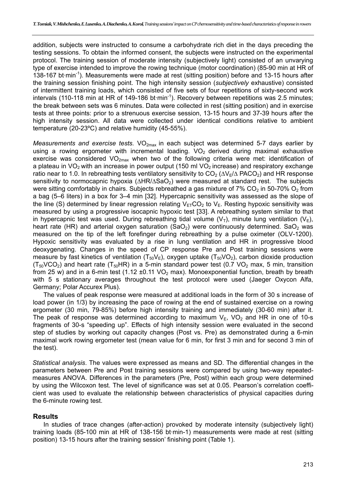addition, subjects were instructed to consume a carbohydrate rich diet in the days preceding the testing sessions. To obtain the informed consent, the subjects were instructed on the experimental protocol. The training session of moderate intensity (subjectively light) consisted of an unvarying type of exercise intended to improve the rowing technique (motor coordination) (85-90 min at HR of 138-167 bt·min<sup>-1</sup>). Measurements were made at rest (sitting position) before and 13-15 hours after the training session finishing point. The high intensity session (*subjectively* exhaustive) consisted of intermittent training loads, which consisted of five sets of four repetitions of sixty-second work intervals (110-118 min at HR of 149-186 bt $\cdot$ min<sup>-1</sup>). Recovery between repetitions was 2.5 minutes; the break between sets was 6 minutes. Data were collected in rest (sitting position) and in exercise tests at three points: prior to a strenuous exercise session, 13-15 hours and 37-39 hours after the high intensity session. All data were collected under identical conditions relative to ambient temperature (20-23ºC) and relative humidity (45-55%).

*Measurements and exercise tests.* VO<sub>2max</sub> in each subject was determined 5-7 days earlier by using a rowing ergometer with incremental loading.  $VO<sub>2</sub>$  derived during maximal exhaustive exercise was considered  $VO_{2max}$  when two of the following criteria were met: identification of a plateau in  $VO<sub>2</sub>$  with an increase in power output (150 ml  $VO<sub>2</sub>$  increase) and respiratory exchange ratio near to 1.0. In rebreathing tests ventilatory sensitivity to  $CO_2$  ( $\Delta V_E/\Delta$  PACO<sub>2</sub>) and HR response sensitivity to normocapnic hypoxia ( $\Delta HR/\Delta SaO<sub>2</sub>$ ) were measured at standard rest. The subjects were sitting comfortably in chairs. Subjects rebreathed a gas mixture of 7% CO<sub>2</sub> in 50-70% O<sub>2</sub> from a bag (5–6 liters) in a box for 3–4 min [32]. Hypercapnic sensitivity was assessed as the slope of the line (S) determined by linear regression relating  $V_{ET}CO<sub>2</sub>$  to  $V_{F}$ . Resting hypoxic sensitivity was measured by using a progressive isocapnic hypoxic test [33]. A rebreathing system similar to that in hypercapnic test was used. During rebreathing tidal volume  $(V_T)$ , minute lung ventilation  $(V_E)$ , heart rate (HR) and arterial oxygen saturation (SaO<sub>2</sub>) were continuously determined. SaO<sub>2</sub> was measured on the tip of the left forefinger during rebreathing by a pulse oximeter (OLV-1200). Hypoxic sensitivity was evaluated by a rise in lung ventilation and HR in progressive blood deoxygenating. Changes in the speed of CP response Pre and Post training sessions were measure by fast kinetics of ventilation  $(T_{50}V_{E})$ , oxygen uptake  $(T_{50}V_{C2})$ , carbon dioxide production  $(T_{50}VCO<sub>2</sub>)$  and heart rate (T<sub>50</sub>HR) in a 5-min standard power test (0.7 VO<sub>2</sub> max, 5 min, transition from 25 w) and in a 6-min test (1.12  $\pm$ 0.11 VO<sub>2</sub> max). Monoexponential function, breath by breath with 5 s stationary averages throughout the test protocol were used (Jaeger Oxycon Alfa, Germany; Polar Accurex Plus).

The values of peak response were measured at additional loads in the form of 30 s increase of load power (in 1/3) by increasing the pace of rowing at the end of sustained exercise on a rowing ergometer (30 min, 79-85%) before high intensity training and immediately (30-60 min) after it. The peak of response was determined according to maximum  $V_E$ , VO<sub>2</sub> and HR in one of 10-s fragments of 30-s "speeding up". Effects of high intensity session were evaluated in the second step of studies by working out capacity changes (Post vs. Pre) as demonstrated during a 6-min maximal work rowing ergometer test (mean value for 6 min, for first 3 min and for second 3 min of the test).

*Statistical analysis*. The values were expressed as means and SD. The differential changes in the parameters between Pre and Post training sessions were compared by using two-way repeatedmeasures ANOVA. Differences in the parameters (Pre, Post) within each group were determined by using the Wilcoxon test. The level of significance was set at 0.05. Pearson's correlation coefficient was used to evaluate the relationship between characteristics of physical capacities during the 6-minute rowing test.

### **Results**

In studies of trace changes (after-action) provoked by moderate intensity (subjectively light) training loads (85-100 min at HR of 138-156 bt·min-1) measurements were made at rest (sitting position) 13-15 hours after the training session' finishing point (Table 1).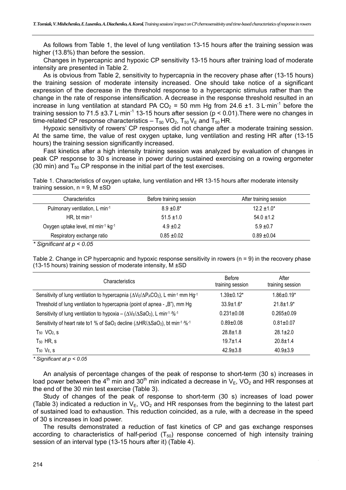As follows from Table 1, the level of lung ventilation 13-15 hours after the training session was higher (13.8%) than before the session.

Changes in hypercapnic and hypoxic CP sensitivity 13-15 hours after training load of moderate intensity are presented in Table 2.

As is obvious from Table 2, sensitivity to hypercapnia in the recovery phase after (13-15 hours) the training session of moderate intensity increased. One should take notice of a significant expression of the decrease in the threshold response to a hypercapnic stimulus rather than the change in the rate of response intensification. A decrease in the response threshold resulted in an increase in lung ventilation at standard PA CO<sub>2</sub> = 50 mm Hg from 24.6  $\pm$ 1. 3 L·min<sup>-1</sup> before the training session to 71.5  $\pm$ 3.7 L·min<sup>-1</sup> 13-15 hours after session ( $p < 0.01$ ). There were no changes in time-related CP response characteristics –  $T_{50}$  VO<sub>2</sub>,  $T_{50}$  V<sub>E</sub> and  $T_{50}$  HR.

Hypoxic sensitivity of rowers' CP responses did not change after a moderate training session. At the same time, the value of rest oxygen uptake, lung ventilation and resting HR after (13-15 hours) the training session significantly increased.

Fast kinetics after a high intensity training session was analyzed by evaluation of changes in peak CP response to 30 s increase in power during sustained exercising on a rowing ergometer (30 min) and  $T_{50}$  CP response in the initial part of the test exercises.

Table 1. Characteristics of oxygen uptake, lung ventilation and HR 13-15 hours after moderate intensity training session,  $n = 9$ , M  $\pm$ SD

| <b>Characteristics</b>             | Before training session | After training session |
|------------------------------------|-------------------------|------------------------|
| Pulmonary ventilation, L min-1     | $8.9 \pm 0.8^*$         | $12.2 \pm 1.0^*$       |
| HR, bt min-1                       | $51.5 \pm 1.0$          | $54.0 \pm 1.2$         |
| Oxygen uptake level, ml min-1 kg-1 | $4.9 \pm 0.2$           | $5.9 \pm 0.7$          |
| Respiratory exchange ratio         | $0.85 + 0.02$           | $0.89 + 0.04$          |

*\* Significant at p < 0.05* 

Table 2. Change in CP hypercapnic and hypoxic response sensitivity in rowers (n = 9) in the recovery phase (13-15 hours) training session of moderate intensity, М ±SD

| <b>Characteristics</b>                                                                                                   | <b>Before</b><br>training session | After<br>training session |
|--------------------------------------------------------------------------------------------------------------------------|-----------------------------------|---------------------------|
| Sensitivity of lung ventilation to hypercapnia ( $\Delta V_E/\Delta P_A CO_2$ ), L min <sup>-1</sup> mm Hg <sup>-1</sup> | $1.39 \pm 0.12^*$                 | $1.86 \pm 0.19^*$         |
| Threshold of lung ventilation to hypercapnia (point of apnea - "B"), mm Hg                                               | $33.9 \pm 1.6^*$                  | $21.8 \pm 1.9^*$          |
| Sensitivity of lung ventilation to hypoxia – $(\Delta V_E/\Delta SaO_2)$ , L·min <sup>-1</sup> % <sup>-1</sup>           | $0.231 \pm 0.08$                  | $0.265 \pm 0.09$          |
| Sensitivity of heart rate to 1 % of SaO <sub>2</sub> decline ( $\triangle HR/\triangle SaO_2$ ), bt min-1 -%-1           | $0.89 + 0.08$                     | $0.81 + 0.07$             |
| $T_{50}$ VO <sub>2</sub> , s                                                                                             | $28.8 \pm 1.8$                    | $28.1 \pm 2.0$            |
| $T_{50}$ HR, s                                                                                                           | $19.7 + 1.4$                      | $20.8 \pm 1.4$            |
| $T_{50}$ $V_E$ , s                                                                                                       | $42.9 \pm 3.8$                    | $40.9 \pm 3.9$            |

*\* Significant at p < 0.05* 

An analysis of percentage changes of the peak of response to short-term (30 s) increases in load power between the 4<sup>th</sup> min and 30<sup>th</sup> min indicated a decrease in  $V_{E}$ , VO<sub>2</sub> and HR responses at the end of the 30 min test exercise (Table 3).

Study of changes of the peak of response to short-term (30 s) increases of load power (Table 3) indicated a reduction in  $V_E$ , VO<sub>2</sub> and HR responses from the beginning to the latest part of sustained load to exhaustion. This reduction coincided, as a rule, with a decrease in the speed of 30 s increases in load power.

The results demonstrated a reduction of fast kinetics of CP and gas exchange responses according to characteristics of half-period  $(T_{50})$  response concerned of high intensity training session of an interval type (13-15 hours after it) (Table 4).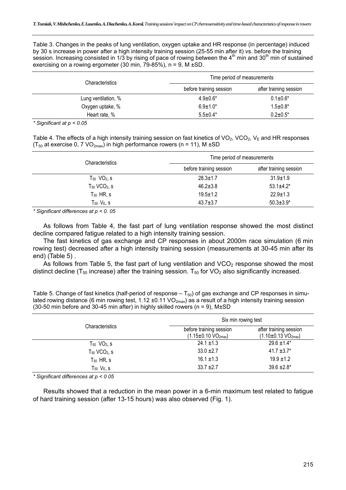Table 3. Changes in the peaks of lung ventilation, oxygen uptake and HR response (in percentage) induced by 30 s increase in power after a high intensity training session (25-55 min after it) vs. before the training session. Increasing consisted in 1/3 by rising of pace of rowing between the 4<sup>th</sup> min and 30<sup>th</sup> min of sustained exercising on a rowing ergometer (30 min,  $\overline{79}$ -85%), n = 9, M  $\pm$ SD.

| <b>Characteristics</b> | Time period of measurements |                        |  |
|------------------------|-----------------------------|------------------------|--|
|                        | before training session     | after training session |  |
| Lung ventilation, %    | $4.9 \pm 0.6^*$             | $0.1 \pm 0.6^*$        |  |
| Oxygen uptake, %       | $6.9 \pm 1.0^*$             | $1.5 \pm 0.8^*$        |  |
| Heart rate, %          | $5.5 \pm 0.4*$              | $0.2 \pm 0.5^*$        |  |

*\* Significant at p < 0.05* 

Table 4. The effects of a high intensity training session on fast kinetics of  $VO_2$ ,  $VO_2$ ,  $V_E$  and HR responses ( $T_{50}$  at exercise 0, 7 VO<sub>2max</sub>) in high performance rowers (n = 11), M  $\pm$ SD

| <b>Characteristics</b>        | Time period of measurements |                        |  |
|-------------------------------|-----------------------------|------------------------|--|
|                               | before training session     | after training session |  |
| $T_{50}$ VO <sub>2</sub> , s  | $28.3 \pm 1.7$              | $31.9 \pm 1.9$         |  |
| $T_{50}$ VCO <sub>2</sub> , s | $46.2 \pm 3.8$              | $53.1 \pm 4.2^*$       |  |
| $T_{50}$ HR, s                | $19.5 \pm 1.2$              | $22.9 \pm 1.3$         |  |
| $T_{50}$ $V_{E,}$ s           | $43.7 \pm 3.7$              | $50.3 \pm 3.9^*$       |  |

*\* Significant differences at p < 0. 05* 

As follows from Table 4, the fast part of lung ventilation response showed the most distinct decline compared fatigue related to a high intensity training session.

The fast kinetics of gas exchange and CP responses in about 2000m race simulation (6 min rowing test) decreased after a high intensity training session (measurements at 30-45 min after its end) (Table 5) .

As follows from Table 5, the fast part of lung ventilation and  $VCO<sub>2</sub>$  response showed the most distinct decline ( $T_{50}$  increase) after the training session.  $T_{50}$  for VO<sub>2</sub> also significantly increased.

| Table 5. Change of fast kinetics (half-period of response $-\mathcal{T}_{50}$ ) of gas exchange and CP responses in simu- |
|---------------------------------------------------------------------------------------------------------------------------|
| lated rowing distance (6 min rowing test, 1.12 ±0.11 $VO_{2max}$ ) as a result of a high intensity training session       |
| (30-50 min before and 30-45 min after) in highly skilled rowers ( $n = 9$ ), M $\pm$ SD                                   |

|                               | Six min rowing test                                                   |                                                               |
|-------------------------------|-----------------------------------------------------------------------|---------------------------------------------------------------|
| <b>Characteristics</b>        | before training session<br>$(1.15 \pm 0.10 \text{ VO}_{2\text{max}})$ | after training session<br>$(1.10 \pm 0.13 \text{ VO}_{2max})$ |
| $T_{50}$ VO <sub>2</sub> , s  | $24.1 \pm 1.3$                                                        | $29.6 \pm 1.4^*$                                              |
| $T_{50}$ VCO <sub>2</sub> , s | $33.0 + 2.7$                                                          | $41.7 \pm 3.7^*$                                              |
| $T_{50}$ HR, s                | $16.1 \pm 1.3$                                                        | $19.9 \pm 1.2$                                                |
| $T_{50}$ $V_{E}$ , s          | $33.7 + 2.7$                                                          | $39.6 \pm 2.8^*$                                              |

*\* Significant differences at p < 0 05* 

Results showed that a reduction in the mean power in a 6-min maximum test related to fatigue of hard training session (after 13-15 hours) was also observed (Fig. 1).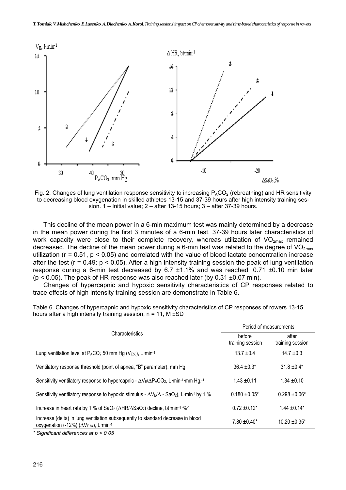

Fig. 2. Changes of lung ventilation response sensitivity to increasing  $P_ACO_2$  (rebreathing) and HR sensitivity to decreasing blood oxygenation in skilled athletes 13-15 and 37-39 hours after high intensity training session. 1 – Initial value; 2 – after 13-15 hours; 3 – after 37-39 hours.

This decline of the mean power in a 6-min maximum test was mainly determined by a decrease in the mean power during the first 3 minutes of a 6-min test. 37-39 hours later characteristics of work capacity were close to their complete recovery, whereas utilization of  $VO_{2max}$  remained decreased. The decline of the mean power during a 6-min test was related to the degree of  $VO_{2max}$ utilization (г = 0.51, р < 0.05) and correlated with the value of blood lactate concentration increase after the test ( $r = 0.49$ ;  $p < 0.05$ ). After a high intensity training session the peak of lung ventilation response during a 6-min test decreased by 6.7 ±1.1% and was reached 0.71 ±0.10 min later  $(p < 0.05)$ . The peak of HR response was also reached later (by 0.31  $\pm$ 0.07 min).

Changes of hypercapnic and hypoxic sensitivity characteristics of CP responses related to trace effects of high intensity training session are demonstrate in Table 6.

|                                                                                                                                                           | Period of measurements     |                           |
|-----------------------------------------------------------------------------------------------------------------------------------------------------------|----------------------------|---------------------------|
| Characteristics                                                                                                                                           | before<br>training session | after<br>training session |
| Lung ventilation level at $P_{A}CO_{2}$ 50 mm Hg ( $V_{E50}$ ), L min-1                                                                                   | $13.7 \pm 0.4$             | $14.7 \pm 0.3$            |
| Ventilatory response threshold (point of apnea, "B" parameter), mm Hg                                                                                     | $36.4 \pm 0.3^*$           | $31.8 \pm 0.4*$           |
| Sensitivity ventilatory response to hypercapnic - $\Delta V \epsilon / \Delta P_A CO_2$ , L min <sup>-1</sup> mm Hg. <sup>-1</sup>                        | $1.43 \pm 0.11$            | $1.34 \pm 0.10$           |
| Sensitivity ventilatory response to hypoxic stimulus - $\Delta V_E/\Delta$ - SaO <sub>2</sub> ), L min <sup>-1</sup> by 1 %                               | $0.180 + 0.05*$            | $0.298 \pm 0.06^*$        |
| Increase in heart rate by 1 % of SaO <sub>2</sub> ( $\triangle HR/\triangle$ SaO <sub>2</sub> ) decline, bt min <sup>-1 .%-1</sup>                        | $0.72 \pm 0.12^*$          | $1.44 \pm 0.14*$          |
| Increase (delta) in lung ventilation subsequently to standard decrease in blood<br>oxygenation (-12%) ( $\Delta$ V <sub>E 84</sub> ), L min <sup>-1</sup> | $7.80 \pm 0.40^*$          | $10.20 \pm 0.35^*$        |

Table 6. Changes of hypercapnic and hypoxic sensitivity characteristics of CP responses of rowers 13-15 hours after a high intensity training session,  $n = 11$ , M  $\pm$ SD

*\* Significant differences at p < 0 05*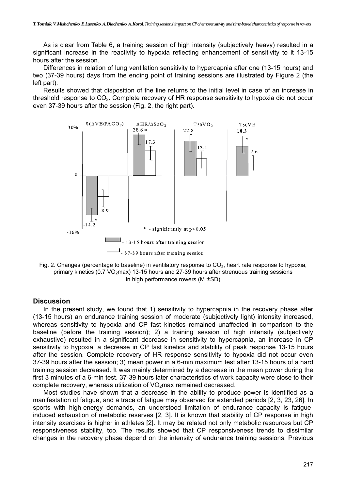As is clear from Table 6, a training session of high intensity (subjectively heavy) resulted in a significant increase in the reactivity to hypoxia reflecting enhancement of sensitivity to it 13-15 hours after the session.

Differences in relation of lung ventilation sensitivity to hypercapnia after one (13-15 hours) and two (37-39 hours) days from the ending point of training sessions are illustrated by Figure 2 (the left part).

Results showed that disposition of the line returns to the initial level in case of an increase in threshold response to CO<sub>2</sub>. Complete recovery of HR response sensitivity to hypoxia did not occur even 37-39 hours after the session (Fig. 2, the right part).



Fig. 2. Changes (percentage to baseline) in ventilatory response to  $CO<sub>2</sub>$ , heart rate response to hypoxia, primary kinetics (0.7 VO<sub>2</sub>max) 13-15 hours and 27-39 hours after strenuous training sessions in high performance rowers (M ±SD)

#### **Discussion**

In the present study, we found that 1) sensitivity to hypercapnia in the recovery phase after (13-15 hours) an endurance training session of moderate (subjectively light) intensity increased, whereas sensitivity to hypoxia and CP fast kinetics remained unaffected in comparison to the baseline (before the training session); 2) a training session of high intensity (subjectively exhaustive) resulted in a significant decrease in sensitivity to hypercapnia, an increase in CP sensitivity to hypoxia, a decrease in CP fast kinetics and stability of peak response 13-15 hours after the session. Complete recovery of HR response sensitivity to hypoxia did not occur even 37-39 hours after the session; 3) mean power in a 6-min maximum test after 13-15 hours of a hard training session decreased. It was mainly determined by a decrease in the mean power during the first 3 minutes of a 6-min test. 37-39 hours later characteristics of work capacity were close to their complete recovery, whereas utilization of  $VO<sub>2</sub>$ max remained decreased.

Most studies have shown that a decrease in the ability to produce power is identified as a manifestation of fatigue, and a trace of fatigue may observed for extended periods [2, 3, 23, 26]. In sports with high-energy demands, an understood limitation of endurance capacity is fatigueinduced exhaustion of metabolic reserves [2, 3]. It is known that stability of CP response in high intensity exercises is higher in athletes [2]. It may be related not only metabolic resources but CP responsiveness stability, too. The results showed that CP responsiveness trends to dissimilar changes in the recovery phase depend on the intensity of endurance training sessions. Previous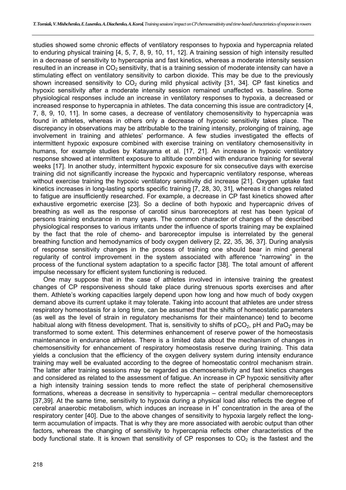studies showed some chronic effects of ventilatory responses to hypoxia and hypercapnia related to enduring physical training [4, 5, 7, 8, 9, 10, 11, 12]. A training session of high intensity resulted in a decrease of sensitivity to hypercapnia and fast kinetics, whereas a moderate intensity session resulted in an increase in  $CO<sub>2</sub>$  sensitivity, that is a training session of moderate intensity can have a stimulating effect on ventilatory sensitivity to carbon dioxide. This may be due to the previously shown increased sensitivity to  $CO<sub>2</sub>$  during mild physical activity [31, 34]. CP fast kinetics and hypoxic sensitivity after a moderate intensity session remained unaffected vs. baseline. Some physiological responses include an increase in ventilatory responses to hypoxia, a decreased or increased response to hypercapnia in athletes. The data concerning this issue are contradictory [4, 7, 8, 9, 10, 11]. In some cases, a decrease of ventilatory chemosensitivity to hypercapnia was found in athletes, whereas in others only a decrease of hypoxic sensitivity takes place. The discrepancy in observations may be attributable to the training intensity, prolonging of training, age involvement in training and athletes' performance. A few studies investigated the effects of intermittent hypoxic exposure combined with exercise training on ventilatory chemosensitivity in humans, for example studies by Katayama et al. [17, 21]. An increase in hypoxic ventilatory response showed at intermittent exposure to altitude combined with endurance training for several weeks [17]. In another study, intermittent hypoxic exposure for six consecutive days with exercise training did not significantly increase the hypoxic and hypercapnic ventilatory response, whereas without exercise training the hypoxic ventilatory sensitivity did increase [21]. Oxygen uptake fast kinetics increases in long-lasting sports specific training [7, 28, 30, 31], whereas it changes related to fatigue are insufficiently researched. For example, a decrease in CP fast kinetics showed after exhaustive ergometric exercise [23]. So a decline of both hypoxic and hypercapnic drives of breathing as well as the response of carotid sinus baroreceptors at rest has been typical of persons training endurance in many years. The common character of changes of the described physiological responses to various irritants under the influence of sports training may be explained by the fact that the role of chemo- and baroreceptor impulse is interrelated by the general breathing function and hemodynamics of body oxygen delivery [2, 22, 35, 36, 37]. During analysis of response sensitivity changes in the process of training one should bear in mind general regularity of control improvement in the system associated with afference "narrowing" in the process of the functional system adaptation to a specific factor [38]. The total amount of afferent impulse necessary for efficient system functioning is reduced.

One may suppose that in the case of athletes involved in intensive training the greatest changes of CP responsiveness should take place during strenuous sports exercises and after them. Athlete's working capacities largely depend upon how long and how much of body oxygen demand above its current uptake it may tolerate. Taking into account that athletes are under stress respiratory homeostasis for a long time, can be assumed that the shifts of homeostatic parameters (as well as the level of strain in regulatory mechanisms for their maintenance) tend to become habitual along with fitness development. That is, sensitivity to shifts of  $pCO<sub>2</sub>$ , pH and PaO<sub>2</sub> may be transformed to some extent. This determines enhancement of reserve power of the homeostasis maintenance in endurance athletes. There is a limited data about the mechanism of changes in chemosensitivity for enhancement of respiratory homeostasis reserve during training. This data yields a conclusion that the efficiency of the oxygen delivery system during intensity endurance training may well be evaluated according to the degree of homeostatic control mechanism strain. The latter after training sessions may be regarded as chemosensitivity and fast kinetics changes and considered as related to the assessment of fatigue. An increase in CP hypoxic sensitivity after a high intensity training session tends to more reflect the state of peripheral chemosensitive formations, whereas a decrease in sensitivity to hypercapnia – central medullar chemoreceptors [37,39]. At the same time, sensitivity to hypoxia during a physical load also reflects the degree of  $c$ erebral anaerobic metabolism, which induces an increase in  $H<sup>+</sup>$  concentration in the area of the respiratory center [40]. Due to the above changes of sensitivity to hypoxia largely reflect the longterm accumulation of impacts. That is why they are more associated with aerobic output than other factors, whereas the changing of sensitivity to hypercapnia reflects other characteristics of the body functional state. It is known that sensitivity of CP responses to  $CO<sub>2</sub>$  is the fastest and the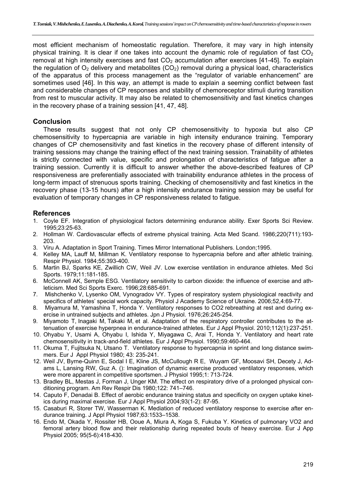most efficient mechanism of homeostatic regulation. Therefore, it may vary in high intensity physical training. It is clear if one takes into account the dynamic role of regulation of fast  $CO<sub>2</sub>$ removal at high intensity exercises and fast  $CO<sub>2</sub>$  accumulation after exercises [41-45]. To explain the regulation of  $O<sub>2</sub>$  delivery and metabolites (CO<sub>2</sub>) removal during a physical load, characteristics of the apparatus of this process management as the "regulator of variable enhancement" are sometimes used [46]. In this way, an attempt is made to explain a seeming conflict between fast and considerable changes of CP responses and stability of chemoreceptor stimuli during transition from rest to muscular activity. It may also be related to chemosensitivity and fast kinetics changes in the recovery phase of a training session [41, 47, 48].

## **Conclusion**

These results suggest that not only CP chemosensitivity to hypoxia but also CP chemosensitivity to hypercapnia are variable in high intensity endurance training. Temporary changes of CP chemosensitivity and fast kinetics in the recovery phase of different intensity of training sessions may change the training effect of the next training session. Trainability of athletes is strictly connected with value, specific and prolongation of characteristics of fatigue after a training session. Currently it is difficult to answer whether the above-described features of CP responsiveness are preferentially associated with trainability endurance athletes in the process of long-term impact of strenuous sports training. Checking of chemosensitivity and fast kinetics in the recovery phase (13-15 hours) after a high intensity endurance training session may be useful for evaluation of temporary changes in CP responsiveness related to fatigue.

## **References**

- 1. Coyle EF. Integration of physiological factors determining endurance ability. Exer Sports Sci Review. 1995;23:25-63.
- 2. Hollman W. Cardiovascular effects of extreme physical training. Acta Med Scand. 1986;220(711):193- 203.
- 3. Viru A. Adaptation in Sport Training. Times Mirror International Publishers. London;1995.
- 4. Kelley MA, Lauff M, Millman K. Ventilatory response to hypercapnia before and after athletic training. Respir Physiol. 1984;55:393-400.
- 5. Martin BJ, Sparks KE, Zwillich CW, Weil JV. Low exercise ventilation in endurance athletes. Med Sci Sports. 1979;11:181-185.
- 6. McConnell AK, Semple ESG. Ventilatory sensitivity to carbon dioxide: the influence of exercise and athleticism. Med Sci Sports Exerc. 1996;28:685-691.
- 7. Mishchenko V, Lysenko OM, Vynogradov VY. Types of respiratory system physiological reactivity and specifics of athletes' special work capacity. Physiol J Academy Science of Ukraine. 2006;52,4:69-77.
- 8. Miyamura M, Yamashina T, Honda Y. Ventilatory responses to CO2 rebreathing at rest and during exercise in untrained subjects and athletes. Jpn J Physiol. 1976;26:245-254.
- 9. Miyamoto T, Inagaki M, Takaki M, et al. Adaptation of the respiratory controller contributes to the attenuation of exercise hyperpnea in endurance-trained athletes. Eur J Appl Physiol. 2010;112(1):237-251.
- 10. Ohyabu Y, Usami A, Ohyabu I, Ishida Y, Miyagawa C, Arai T, Honda Y. Ventilatory and heart rate chemosensitivity in track-and-field athletes. Eur J Appl Physiol. 1990;59:460-464.
- 11. Okuma T, Fujitsuka N, Utsano T. Ventilatory response to hypercapnia in sprint and long distance swimmers. Eur J Appl Physiol 1980; 43: 235-241.
- 12. Weil JV, Byrne-Quinn E, Sodal I E, Kline JS, McCullough R E, Wuyam GF, Moosavi SH, Decety J, Adams L, Lansing RW, Guz A. (): Imagination of dynamic exercise produced ventilatory responses, which were more apparent in competitive sportsmen. J Physiol 1995;1: 713-724.
- 13. Bradley BL, Mestas J, Forman J, Unger KM. The effect on respiratory drive of a prolonged physical conditioning program. Am Rev Respir Dis 1980;122: 741–746.
- 14. Caputo F, Denadai B. Effect of aerobic endurance training status and specificity on oxygen uptake kinetics during maximal exercise. Eur J Appl Physiol 2004;93(1-2): 87-95.
- 15. Casaburi R, Storer TW, Wasserman K. Mediation of reduced ventilatory response to exercise after endurance training. J Appl Physiol 1987;63:1533–1538.
- 16. Endo M, Okada Y, Rossiter HB, Ooue A, Miura A, Kоgа S, Fukuba Y. Kinetics of pulmonary VO2 and femoral artery blood flow and their relationship during repeated bouts of heavy exercise. Eur J App Physiol 2005; 95(5-6):418-430.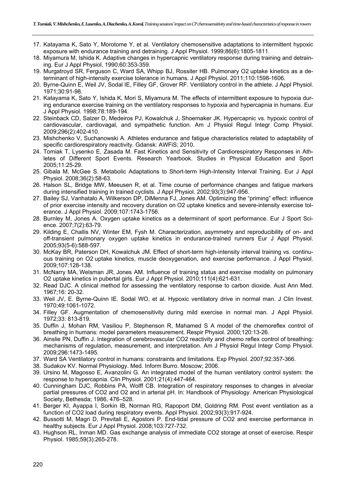- 17. Katayama K, Sato Y, Morotome Y, et al. Ventilatory chemosensitive adaptations to intermittent hypoxic exposure with endurance training and detraining. J Appl Physiol. 1999;86(6):1805-1811.
- 18. Miyamura M, Ishida K. Adaptive changes in hypercapnic ventilatory response during training and detraining. Eur J Appl Physiol. 1990;60:353-359.
- 19. Murgatroyd SR, Ferguson C, Ward SA, Whipp BJ, Rossiter HB. Pulmonary O2 uptake kinetics as a determinant of high-intensity exercise tolerance in humans. J Appl Physiol. 2011;110:1598-1606.
- 20. Byrne-Quinn E, Weil JV, Sodal IE, Filley GF, Grover RF. Ventilatory control in the athlete. J Appl Physiol. 1971;30:91-98.
- 21. Katayama K, Sato Y, Ishida K, Mori S, Miyamura M. The effects of intermittent exposure to hypoxia during endurance exercise training on the ventilatory responses to hypoxia and hypercapnia in humans. Eur J Appl Physiol. 1998;78:189-194.
- 22. Steinback CD, Salzer D, Medeiros PJ, Kowalchuk J, Shoemaker JK. Hypercapnic vs. hypoxic control of cardiovascular, cardiovagal, and sympathetic function. Am J Physiol Regul Integr Comp Physiol. 2009;296(2):402-410.
- 23. Mishchenko V, Suchanowski A. Athletes endurance and fatigue characteristics related to adaptability of specific cardiorespiratory reactivity. Gdansk: AWFiS; 2010.
- 24. Tomiak Т, Lysenko Е, Zasada М. Fast Kinetics and Sensitivity of Cardiorespiratory Responses in Athletes of Different Sport Events. Research Yearbook. Studies in Physical Education and Sport 2005;11:25-29.
- 25. Gibala M, McGee S. Metabolic Adaptations to Short-term High-Intensity Interval Training. Eur J Appl Physiol. 2008;36(2):58-63.
- 26. Halson SL, Bridge MW, Meeusen R, et al. Time course of performance changes and fatigue markers during intensified training in trained cyclists. J Appl Physiol. 2002;93(3):947-956.
- 27. Bailey SJ, Vanhatalo A, Wilkerson DP, DiMenna FJ, Jones AM. Optimizing the "priming" effect: influence of prior exercise intensity and recovery duration on O2 uptake kinetics and severe-intensity exercise tolerance. J Appl Physiol. 2009;107:1743-1756.
- 28. Burnley M, Jones A. Oxygen uptake kinetics as a determinant of sport performance. Eur J Sport Science. 2007;7(2):63-79.
- 29. Kilding E, Challis NV, Winter EM, Fysh M. Characterization, asymmetry and reproducibility of on- and off-transient pulmonary oxygen uptake kinetics in endurance-trained runners Eur J Appl Physiol. 2005;93(5-6):588-597.
- 30. McKay BR, Paterson DH, Kowalchuk JM. Effect of short-term high-intensity interval training vs. continuous training on O2 uptake kinetics, muscle deoxygenation, and exercise performance. J Appl Physiol. 2009;107:128-138.
- 31. McNarry MA, Welsman JR, Jones AM. Influence of training status and exercise modality on pulmonary O2 uptake kinetics in pubertal girls. Eur J Appl Physiol. 2010;111(4):621-631.
- 32. Read DJC. A clinical method for assessing the ventilatory response to carbon dioxide. Aust Ann Med. 1967;16: 20-32.
- 33. Weil JV, E. Byrne-Quinn IE. Sodal WO, et al. Hypoxic ventilatory drive in normal man. J Clin Invest. 1970;49:1061-1072.
- 34. Filley GF. Augmentation of chemosensitivity during mild exercise in normal man. J Appl Physiol. 1972;33: 813-819.
- 35. Duffin J, Mohan RM, Vasiliou P, Stephenson R, Mahamed S A model of the chemoreflex control of breathing in humans: model parameters measurement. Respir Physiol. 2000;120:13-26.
- 36. Ainslie PN, Duffin J. Integration of cerebrovascular CO2 reactivity and chemo reflex control of breathing: mechanisms of regulation, measurement, and interpretation. Am J Physiol Regul Integr Comp Physiol. 2009;296:1473-1495.
- 37. Ward SA Ventilatory control in humans: constraints and limitations. Exp Physiol. 2007;92:357-366.
- 38. Sudakov KV. Normal Physiology. Med. Inform Burro. Moscow; 2006.
- 39. Ursino M, Magosso E, Avanzolini G. An integrated model of the human ventilatory control system: the response to hypercapnia. Clin Physiol. 2001;21(4):447-464.
- 40. Cunningham DJC, Robbins PA, Wolff CB. Integration of respiratory responses to changes in alveolar partial pressures of CO2 and O2 and in arterial pH. In: Handbook of Physiology. American Physiological Society, Bethesda; 1986, 476–528.
- 41. Berger KI, Ayappa I, Sorkin IB, Norman RG, Rapoport DM, Goldring RM. Post event ventilation as a function of CO2 load during respiratory events. Appl Physiol. 2002;93(3):917-924.
- 42. Bussotti M, Magri D, Previtali E, Agostoni P. End-tidal pressure of CO2 and exercise performance in healthy subjects. Eur J Appl Physiol. 2008;103:727-732.
- 43. Hughson RL, Inman MD. Gas exchange analysis of immediate CO2 storage at onset of exercise. Respir Physiol. 1985;59(3):265-278.